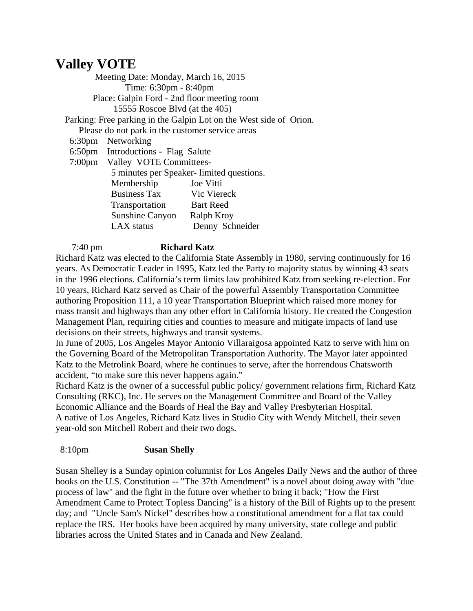**Valley VOTE**<br>Meeting Date: Monday, March 16, 2015 Time: 6:30pm - 8:40pm Place: Galpin Ford - 2nd floor meeting room 15555 Roscoe Blvd (at the 405)

Parking: Free parking in the Galpin Lot on the West side of Orion.

Please do not park in the customer service areas

6:30pm Networking

6:50pm Introductions - Flag Salute

 7:00pm Valley VOTE Committees- .<br>5 mites per Speaker-limited questions.

|                     | 3 minutes per Speaker- nimited questions. |
|---------------------|-------------------------------------------|
| Membership          | Joe Vitti                                 |
| <b>Business Tax</b> | Vic Viereck                               |
| Transportation      | <b>Bart Reed</b>                          |
| Sunshine Canyon     | Ralph Kroy                                |
| LAX status          | Denny Schneider                           |

7:40 pm **Richard Katz**

Richard Katz was elected to the California State Assembly in 1980, serving continuously for 16 years. As Democratic Leader in 1995, Katz led the Party to majority status by winning 43 seats in the 1996 elections. California's term limits law prohibited Katz from seeking re-election. For 10 years, Richard Katz served as Chair of the powerful Assembly Transportation Committee authoring Proposition 111, a 10 year Transportation Blueprint which raised more money for mass transit and highways than any other effort in California history. He created the Congestion Management Plan, requiring cities and counties to measure and mitigate impacts of land use decisions on their streets, highways and transit systems.

In June of 2005, Los Angeles Mayor Antonio Villaraigosa appointed Katz to serve with him on the Governing Board of the Metropolitan Transportation Authority. The Mayor later appointed Katz to the Metrolink Board, where he continues to serve, after the horrendous Chatsworth accident, "to make sure this never happens again."

Richard Katz is the owner of a successful public policy/ government relations firm, Richard Katz Consulting (RKC), Inc. He serves on the Management Committee and Board of the Valley Economic Alliance and the Boards of Heal the Bay and Valley Presbyterian Hospital. A native of Los Angeles, Richard Katz lives in Studio City with Wendy Mitchell, their seven year-old son Mitchell Robert and their two dogs.

## 8:10pm **Susan Shelly**

Susan Shelley is a Sunday opinion columnist for Los Angeles Daily News and the author of three books on the U.S. Constitution -- "The 37th Amendment" is a novel about doing away with "due process of law" and the fight in the future over whether to bring it back; "How the First Amendment Came to Protect Topless Dancing" is a history of the Bill of Rights up to the present day; and "Uncle Sam's Nickel" describes how a constitutional amendment for a flat tax could replace the IRS. Her books have been acquired by many university, state college and public libraries across the United States and in Canada and New Zealand.